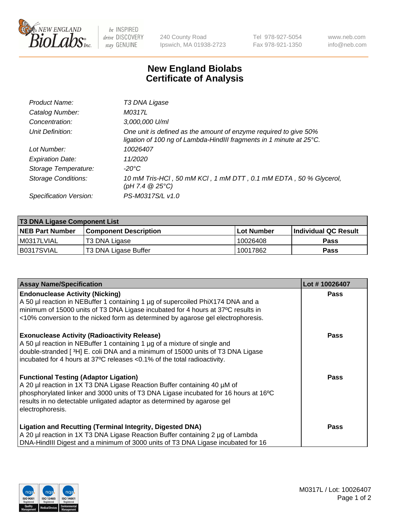

 $be$  INSPIRED drive DISCOVERY stay GENUINE

240 County Road Ipswich, MA 01938-2723 Tel 978-927-5054 Fax 978-921-1350 www.neb.com info@neb.com

## **New England Biolabs Certificate of Analysis**

| Product Name:              | T3 DNA Ligase                                                                                                                           |
|----------------------------|-----------------------------------------------------------------------------------------------------------------------------------------|
| Catalog Number:            | M0317L                                                                                                                                  |
| Concentration:             | 3,000,000 U/ml                                                                                                                          |
| Unit Definition:           | One unit is defined as the amount of enzyme required to give 50%<br>ligation of 100 ng of Lambda-HindIII fragments in 1 minute at 25°C. |
| Lot Number:                | 10026407                                                                                                                                |
| <b>Expiration Date:</b>    | 11/2020                                                                                                                                 |
| Storage Temperature:       | $-20^{\circ}$ C                                                                                                                         |
| <b>Storage Conditions:</b> | 10 mM Tris-HCl, 50 mM KCl, 1 mM DTT, 0.1 mM EDTA, 50 % Glycerol,<br>(pH 7.4 $@25°C$ )                                                   |
| Specification Version:     | PS-M0317S/L v1.0                                                                                                                        |

| <b>T3 DNA Ligase Component List</b> |                        |                   |                      |  |  |
|-------------------------------------|------------------------|-------------------|----------------------|--|--|
| <b>NEB Part Number</b>              | Component Description_ | <b>Lot Number</b> | Individual QC Result |  |  |
| I M0317LVIAL                        | T3 DNA Ligase          | 10026408          | <b>Pass</b>          |  |  |
| B0317SVIAL                          | T3 DNA Ligase Buffer   | 10017862          | <b>Pass</b>          |  |  |

| <b>Assay Name/Specification</b>                                                                                                                                 | Lot #10026407 |
|-----------------------------------------------------------------------------------------------------------------------------------------------------------------|---------------|
| <b>Endonuclease Activity (Nicking)</b><br>A 50 µl reaction in NEBuffer 1 containing 1 µg of supercoiled PhiX174 DNA and a                                       | Pass          |
| minimum of 15000 units of T3 DNA Ligase incubated for 4 hours at 37°C results in                                                                                |               |
| <10% conversion to the nicked form as determined by agarose gel electrophoresis.                                                                                |               |
| <b>Exonuclease Activity (Radioactivity Release)</b>                                                                                                             | Pass          |
| A 50 µl reaction in NEBuffer 1 containing 1 µg of a mixture of single and<br>double-stranded [3H] E. coli DNA and a minimum of 15000 units of T3 DNA Ligase     |               |
| incubated for 4 hours at 37°C releases <0.1% of the total radioactivity.                                                                                        |               |
| <b>Functional Testing (Adaptor Ligation)</b>                                                                                                                    | Pass          |
| A 20 µl reaction in 1X T3 DNA Ligase Reaction Buffer containing 40 µM of                                                                                        |               |
| phosphorylated linker and 3000 units of T3 DNA Ligase incubated for 16 hours at 16°C<br>results in no detectable unligated adaptor as determined by agarose gel |               |
| electrophoresis.                                                                                                                                                |               |
| <b>Ligation and Recutting (Terminal Integrity, Digested DNA)</b>                                                                                                | Pass          |
| A 20 µl reaction in 1X T3 DNA Ligase Reaction Buffer containing 2 µg of Lambda                                                                                  |               |
| DNA-HindIII Digest and a minimum of 3000 units of T3 DNA Ligase incubated for 16                                                                                |               |